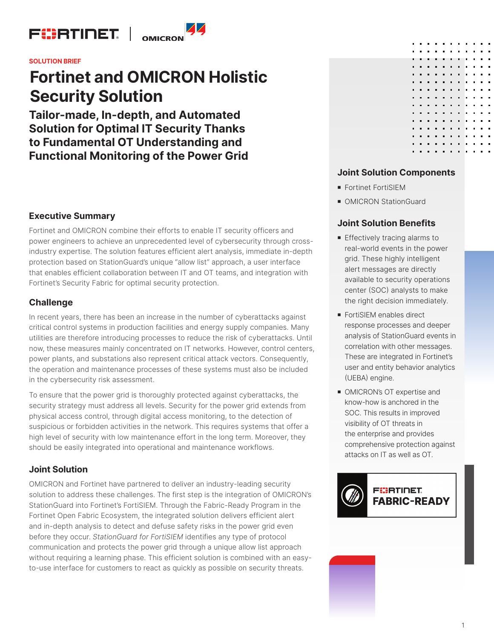

#### **SOLUTION BRIEF**

# **Fortinet and OMICRON Holistic Security Solution**

**Tailor-made, In-depth, and Automated Solution for Optimal IT Security Thanks to Fundamental OT Understanding and Functional Monitoring of the Power Grid**

## **Executive Summary**

Fortinet and OMICRON combine their efforts to enable IT security officers and power engineers to achieve an unprecedented level of cybersecurity through crossindustry expertise. The solution features efficient alert analysis, immediate in-depth protection based on StationGuard's unique "allow list" approach, a user interface that enables efficient collaboration between IT and OT teams, and integration with Fortinet's Security Fabric for optimal security protection.

### **Challenge**

In recent years, there has been an increase in the number of cyberattacks against critical control systems in production facilities and energy supply companies. Many utilities are therefore introducing processes to reduce the risk of cyberattacks. Until now, these measures mainly concentrated on IT networks. However, control centers, power plants, and substations also represent critical attack vectors. Consequently, the operation and maintenance processes of these systems must also be included in the cybersecurity risk assessment.

To ensure that the power grid is thoroughly protected against cyberattacks, the security strategy must address all levels. Security for the power grid extends from physical access control, through digital access monitoring, to the detection of suspicious or forbidden activities in the network. This requires systems that offer a high level of security with low maintenance effort in the long term. Moreover, they should be easily integrated into operational and maintenance workflows.

## **Joint Solution**

OMICRON and Fortinet have partnered to deliver an industry-leading security solution to address these challenges. The first step is the integration of OMICRON's StationGuard into Fortinet's FortiSIEM. Through the Fabric-Ready Program in the Fortinet Open Fabric Ecosystem, the integrated solution delivers efficient alert and in-depth analysis to detect and defuse safety risks in the power grid even before they occur. *StationGuard for FortiSIEM* identifies any type of protocol communication and protects the power grid through a unique allow list approach without requiring a learning phase. This efficient solution is combined with an easyto-use interface for customers to react as quickly as possible on security threats.

| $\blacksquare$ | п | п | п | $\blacksquare$ | п | $\blacksquare$ | п | п              |   |
|----------------|---|---|---|----------------|---|----------------|---|----------------|---|
| п              | п | π | п | п              | п | п              | π | π              | г |
| п              | п | п | п | п              | п | п              | п | п              |   |
| п              | п | п | п | п              | п | ٠              | π | π              | г |
| п              | п | п | п | п              | п | п              | п | $\blacksquare$ | ۲ |
| п              | п | п | п | п              | п | п              | π | π              | г |
| п              | п | п | п | п              | п | п              | π | π              | Г |
| п              | п | п | п | ٠              | п | п              | п | п              | Ш |
| п              | п | п | п | п              | п | п              | п | п              |   |
| п              | п | п | п | ٠              | п | п              | п | п              | г |
| п              | п | п | п | п              | п | п              | п | п              |   |
| п              | п | п | п | ٠              | п | п              | п | п              | Ш |
| п              | п | п | п | ٠              | п | п              | π | π              |   |
| п              | п | п | п | ٠              | п | п              | п | π              |   |
| п              | п | п | п | п              | п | п              | п | п              |   |
|                |   |   |   |                |   |                |   |                |   |

## **Joint Solution Components**

- Fortinet FortiSIEM
- OMICRON StationGuard

#### **Joint Solution Benefits**

- **Effectively tracing alarms to** real-world events in the power grid. These highly intelligent alert messages are directly available to security operations center (SOC) analysts to make the right decision immediately.
- FortiSIEM enables direct response processes and deeper analysis of StationGuard events in correlation with other messages. These are integrated in Fortinet's user and entity behavior analytics (UEBA) engine.
- OMICRON's OT expertise and know-how is anchored in the SOC. This results in improved visibility of OT threats in the enterprise and provides comprehensive protection against attacks on IT as well as OT.

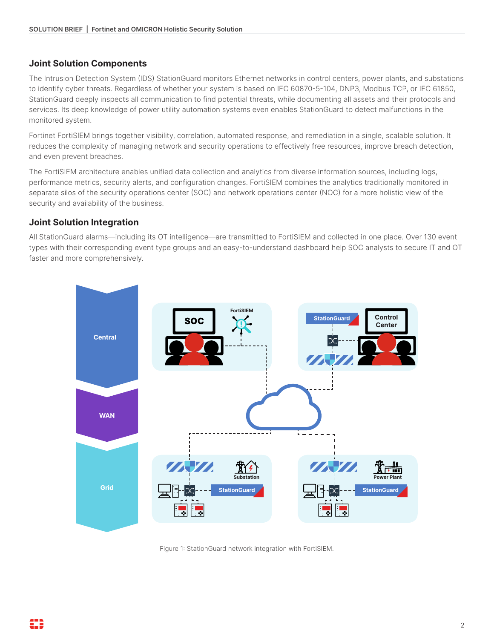# **Joint Solution Components**

The Intrusion Detection System (IDS) StationGuard monitors Ethernet networks in control centers, power plants, and substations to identify cyber threats. Regardless of whether your system is based on IEC 60870-5-104, DNP3, Modbus TCP, or IEC 61850, StationGuard deeply inspects all communication to find potential threats, while documenting all assets and their protocols and services. Its deep knowledge of power utility automation systems even enables StationGuard to detect malfunctions in the monitored system.

Fortinet FortiSIEM brings together visibility, correlation, automated response, and remediation in a single, scalable solution. It reduces the complexity of managing network and security operations to effectively free resources, improve breach detection, and even prevent breaches.

The FortiSIEM architecture enables unified data collection and analytics from diverse information sources, including logs, performance metrics, security alerts, and configuration changes. FortiSIEM combines the analytics traditionally monitored in separate silos of the security operations center (SOC) and network operations center (NOC) for a more holistic view of the security and availability of the business.

# **Joint Solution Integration**

All StationGuard alarms—including its OT intelligence—are transmitted to FortiSIEM and collected in one place. Over 130 event types with their corresponding event type groups and an easy-to-understand dashboard help SOC analysts to secure IT and OT faster and more comprehensively.



Figure 1: StationGuard network integration with FortiSIEM.